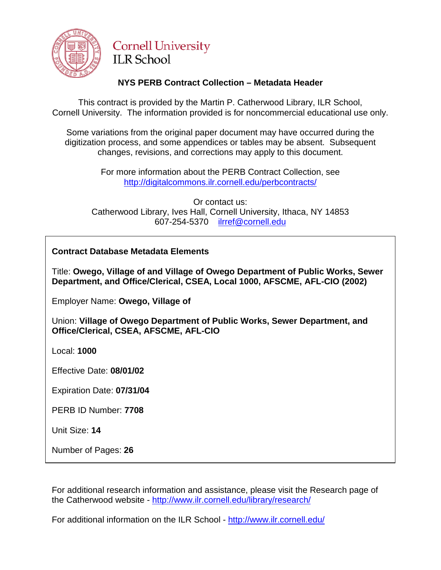

# **Cornell University ILR School**

# **NYS PERB Contract Collection – Metadata Header**

This contract is provided by the Martin P. Catherwood Library, ILR School, Cornell University. The information provided is for noncommercial educational use only.

Some variations from the original paper document may have occurred during the digitization process, and some appendices or tables may be absent. Subsequent changes, revisions, and corrections may apply to this document.

> For more information about the PERB Contract Collection, see http://digitalcommons.ilr.cornell.edu/perbcontracts/

Or contact us: Catherwood Library, Ives Hall, Cornell University, Ithaca, NY 14853 607-254-5370 [ilrref@cornell.edu](mailto:ilrref@cornell.edu)

# **Contract Database Metadata Elements**

Title: **Owego, Village of and Village of Owego Department of Public Works, Sewer Department, and Office/Clerical, CSEA, Local 1000, AFSCME, AFL-CIO (2002)**

Employer Name: **Owego, Village of**

Union: **Village of Owego Department of Public Works, Sewer Department, and Office/Clerical, CSEA, AFSCME, AFL-CIO**

Local: **1000**

Effective Date: **08/01/02**

Expiration Date: **07/31/04**

PERB ID Number: **7708**

Unit Size: **14**

Number of Pages: **26**

For additional research information and assistance, please visit the Research page of the Catherwood website - <http://www.ilr.cornell.edu/library/research/>

For additional information on the ILR School - <http://www.ilr.cornell.edu/>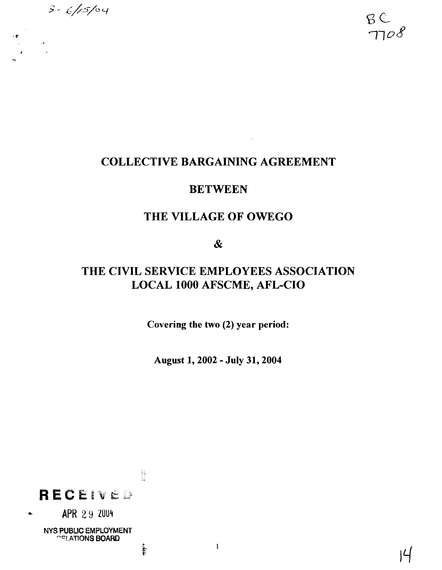

 $B C$  $7708$ 

# **COLLECTIVE BARGAINING AGREEMENT**

## **BETWEEN**

# **THE VILLAGE OF OWEGO**

 $\boldsymbol{\alpha}$ 

# **THE CIVIL SERVICE EMPLOYEES ASSOCIATION LOCAL 1000 AFSCME, AFL-CIO**

**Covering the two (2) year period:** 

**August 1,2002** - **July 31,2004** 

 $\mathbf{I}% _{t}\left| \mathbf{I}_{t}\right| ^{-1}\left| \mathbf{I}_{t}\right| ^{-1}\left| \mathbf{I}_{t}\right| ^{-1}\left| \mathbf{I}_{t}\right| ^{-1}\left| \mathbf{I}_{t}\right| ^{-1}\left| \mathbf{I}_{t}\right| ^{-1}\left| \mathbf{I}_{t}\right| ^{-1}\left| \mathbf{I}_{t}\right| ^{-1}\left| \mathbf{I}_{t}\right| ^{-1}\left| \mathbf{I}_{t}\right| ^{-1}\left| \mathbf{I}_{t}\right| ^{-1}\left| \mathbf{I}_{t}\right| ^{-1}\left| \mathbf{I}_{t}\right| ^{-1}\left|$ 

 $\begin{bmatrix} 1 & 1 \\ 1 & 1 \\ 1 & 1 \\ 1 & 1 \\ 1 & 1 \\ 1 & 1 \\ 1 & 1 \\ 1 & 1 \\ 1 & 1 \\ 1 & 1 \\ 1 & 1 \\ 1 & 1 \\ 1 & 1 \\ 1 & 1 \\ 1 & 1 \\ 1 & 1 \\ 1 & 1 \\ 1 & 1 \\ 1 & 1 \\ 1 & 1 \\ 1 & 1 \\ 1 & 1 \\ 1 & 1 \\ 1 & 1 \\ 1 & 1 \\ 1 & 1 \\ 1 & 1 \\ 1 & 1 \\ 1 & 1 \\ 1 & 1 \\ 1 & 1 \\ 1 & 1 \\ 1 & 1 \\ 1 & 1 \\ 1 & 1 \\ 1 &$ RECEIVED a **APR** *2* 9 **20U4 NYS WBUC EMPLOYMENT ""IATIONS BOARO** .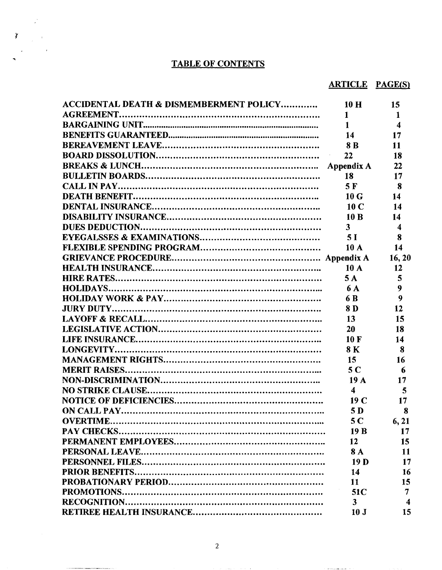## **TABLE OF CONTENTS**

 $\frac{1}{2}$ 

 $\sim$ 

# **ARTICLE PAGE(S)**

| <b>ACCIDENTAL DEATH &amp; DISMEMBERMENT POLICY</b> | 10H              | 15                      |
|----------------------------------------------------|------------------|-------------------------|
|                                                    | $\mathbf 1$      | 1                       |
|                                                    | $\mathbf{1}$     | $\overline{\mathbf{4}}$ |
|                                                    | <b>14</b>        | 17                      |
|                                                    | 8B               | 11                      |
|                                                    | 22               | 18                      |
|                                                    |                  | 22                      |
|                                                    | 18               | 17                      |
|                                                    | 5F               | 8                       |
|                                                    | 10G              | 14                      |
|                                                    | 10 <sub>C</sub>  | 14                      |
|                                                    | 10B              | 14                      |
|                                                    | $\mathbf{3}$     | $\boldsymbol{4}$        |
|                                                    | 5 <sub>l</sub>   | 8                       |
|                                                    | 10A              | 14                      |
|                                                    |                  | 16,20                   |
|                                                    | 10A              | 12                      |
|                                                    | 5A               | 5                       |
|                                                    | 6 A              | 9                       |
|                                                    | 6 B              | 9                       |
|                                                    | 8 D              | 12                      |
|                                                    | 13               | 15                      |
|                                                    | 20               | 18                      |
|                                                    | 10 F             | 14                      |
|                                                    | 8 K              | 8                       |
|                                                    | 15               | 16                      |
|                                                    | 5 <sub>C</sub>   | 6                       |
|                                                    | 19A              | 17                      |
|                                                    | $\boldsymbol{4}$ | 5                       |
|                                                    | 19 <sub>C</sub>  | 17                      |
|                                                    | 5 D              | -8                      |
|                                                    | 5 <sub>C</sub>   | 6, 21                   |
|                                                    | 19B              | 17                      |
|                                                    | 12               | 15 <sup>15</sup>        |
|                                                    | <b>8A</b>        | 11                      |
|                                                    | 19 <sub>D</sub>  | 17                      |
|                                                    | 14               | 16                      |
|                                                    | 11               | 15                      |
|                                                    | 51C              | 7                       |
|                                                    | 3                | $\boldsymbol{4}$        |
|                                                    | 10 <sub>J</sub>  | 15                      |

and the construction of the con-

 $\mathcal{L}^{\mathcal{L}}$  . The constraints are similar to  $\mathcal{L}^{\mathcal{L}}$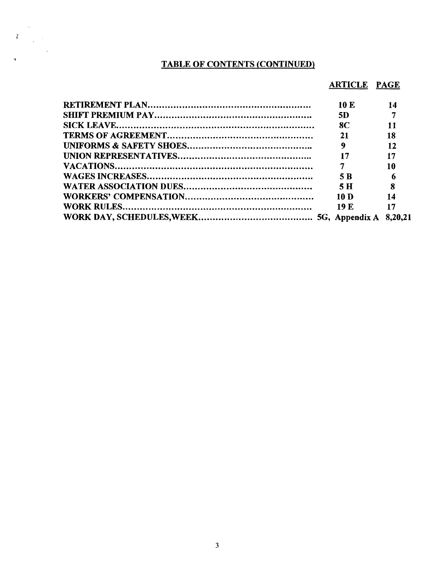## **TABLE OF CONTENTS (CONTINUED)**

 $\begin{array}{c} \mathcal{L}_{\text{max}} \\ \mathcal{L}_{\text{max}} \\ \mathcal{L}_{\text{max}} \end{array}$ 

## **ARTICLE PAGE**

| 10E       | 14                        |
|-----------|---------------------------|
| 5D        |                           |
| <b>8C</b> | 11                        |
|           | 18                        |
|           | 12                        |
|           | 17                        |
|           | 10                        |
| 5 B       |                           |
| 5 H       | $\overline{\phantom{0}}8$ |
| 10 D      | 14                        |
| 19 F.     | 17                        |
|           |                           |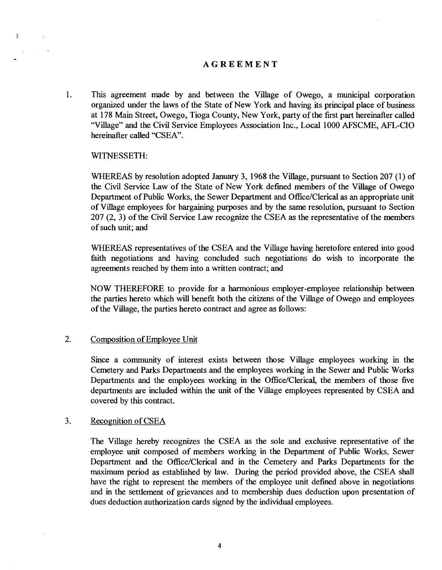### **AGREEMENT**

1. This agreement made by and between the Village of Owego, a municipal corporation organized under the laws of the State of New York and having its principal place of business at 178 Main Street, Owego, Tioga County, New York, party of the first part hereinafter called "Village" and the Civil Service Employees Association Inc., Local 1000 AFSCME, AFL-CIO hereinafter called "CSEA".

#### WITNESSETH:

 $\tilde{Y}$ 

 $\mathbf{y} = \left( \begin{smallmatrix} 1 & 0 \\ 0 & 1 \end{smallmatrix} \right)$  ,  $\mathbf{y} = \mathbf{0}$ 

WHEREAS by resolution adopted January 3, 1968 the Village, pursuant to Section 207 (1) of the Civil Service Law of the State of New York defined members of the Village of Owego Department of Public Works, the Sewer Department and Office/Clerical **as** an appropriate unit of Village employees for bargaining purposes and by the same resolution, pursuant to Section 207 (2, 3) of the Civil Service Law recognize the CSEA **as** the representative of the members of such unit; and

WHEREAS representatives of the CSEA and the Village having heretofore entered into good faith negotiations and having concluded such negotiations do wish to incorporate the agreements reached by them into a written contract; and

NOW THEREFORE to provide for a harmonious employer-employee relationship between the parties hereto which will benefit both the citizens of the ViUage of Owego and employees of the Village, the parties hereto contract and agree **as** follows:

### 2. Composition of Employee Unit

Since a community of interest exists between those Village employees working in the Cemetery and Parks Departments and the employees working in the Sewer and Public Works Departments and the employees working in the Office/Clerical, the members of those five departments are included within the unit of the Village employees represented by CSEA and covered by this contract.

### 3. Recognition of CSEA

The Village hereby recognizes the CSEA **as** the sole and exclusive representative of the employee unit composed of members working in the Department of Public Works, Sewer Department and the Office/Clerical and in the Cemetery and Parks Departments for the **maximum** period **as** established by law. During the period provided above, the CSEA shall have the right to represent the members of the employee unit defined above in negotiations and in the settlement of grievances and to membership dues deduction upon presentation of dues deduction authorization cards signed by the individual employees.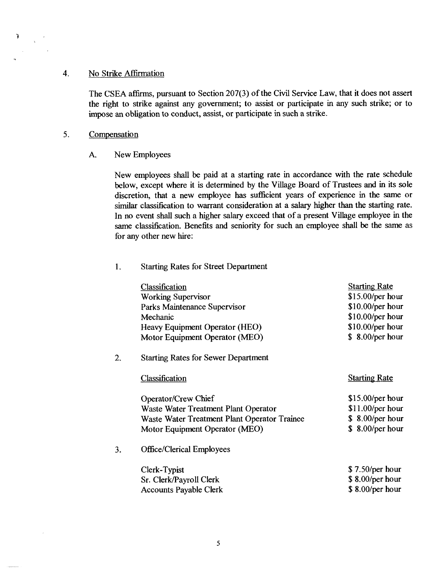### 4. No Strike Affirmation

The CSEA affirms, pursuant to Section 207(3) of the Civil Service Law, that it does not assert the right to strike against any government; to assist or participate in any such strike; or to impose an obligation to conduct, assist, or participate in such a strike.

#### 5. Compensation

T,

 $\mathcal{L}$ 

A. New Employees

New employees shall be paid at a starting rate in accordance with the rate schedule below, except where it is determined by the Village Board of Trustees and in its sole discretion, that a new employee has sufficient years of experience in the same or similar classification to warrant consideration at a salary higher than the starting rate. In no event shall such a higher salary exceed that of a present Village employee in the same classification. Benefits and seniority for such an employee shall be the same as for any other new hire:

#### 1. Starting Rates for Street Department

|    | <b>Classification</b><br><b>Working Supervisor</b><br>Parks Maintenance Supervisor<br>Mechanic<br>Heavy Equipment Operator (HEO)<br>Motor Equipment Operator (MEO) | <b>Starting Rate</b><br>$$15.00/per$ hour<br>\$10.00/per hour<br>$$10.00/per$ hour<br>\$10.00/per hour<br>\$8.00/per hour |
|----|--------------------------------------------------------------------------------------------------------------------------------------------------------------------|---------------------------------------------------------------------------------------------------------------------------|
| 2. | <b>Starting Rates for Sewer Department</b>                                                                                                                         |                                                                                                                           |
|    | Classification                                                                                                                                                     | <b>Starting Rate</b>                                                                                                      |
|    | Operator/Crew Chief<br>Waste Water Treatment Plant Operator<br>Waste Water Treatment Plant Operator Trainee<br>Motor Equipment Operator (MEO)                      | $$15.00/per$ hour<br>$$11.00/per$ hour<br>\$8.00/per hour<br>\$8.00/per hour                                              |
| 3. | <b>Office/Clerical Employees</b>                                                                                                                                   |                                                                                                                           |
|    | Clerk-Typist<br>Sr. Clerk/Payroll Clerk<br><b>Accounts Payable Clerk</b>                                                                                           | \$7.50/per hour<br>\$8.00/per hour<br>\$8.00/per hour                                                                     |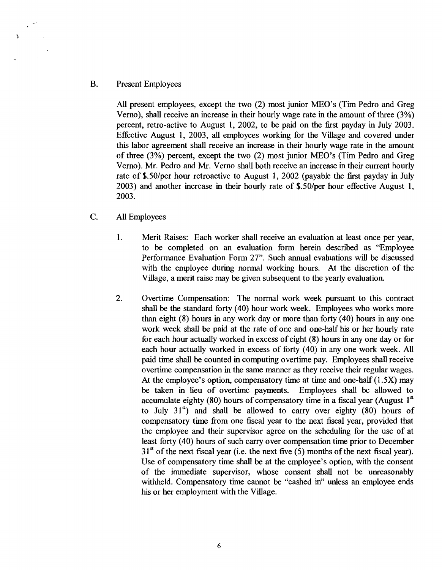#### B. Present Employees

**All** present employees, except the two (2) most junior MEO's (Tim Pedro and Greg Verno), shall receive an increase in their hourly wage rate in the amount of three (3%) percent, retro-active to August 1, 2002, to be paid on the first payday in July 2003. Effective August 1, 2003, all employees working for the Village and covered under this labor agreement shall receive an increase in their hourly wage rate in the amount of three (3%) percent, except the two (2) most junior MEO's (Tim Pedro and Greg Verno). Mr. Pedro and Mr. Verno shall both receive an increase in their current hourly rate of \$.50/per hour retroactive to August 1, 2002 (payable the first payday in July 2003) and another increase in their hourly rate of \$.50/per hour effective August 1, 2003.

### C. All Employees

- 1. Merit Raises: Each worker shall receive an evaluation at least once per year, to be completed on an evaluation form herein described as "Employee Performance Evaluation Form 27". Such annual evaluations will be discussed with the employee during normal working hours. At the discretion of the Village, a merit raise may be given subsequent to the yearly evaluation.
- 2. Overtime Compensation: The normal work week pursuant to this contract shall be the standard forty (40) hour work week. Employees who works more than eight (8) hours in any work day or more than forty (40) hours in any one work week shall be paid at the rate of one and one-half his or her hourly rate for each hour actually worked in excess of eight (8) hours in any one day or for each hour actually worked in excess of forty (40) in any one work week. All paid time shall be counted in computing overtime pay. Employees shall receive overtime compensation in the same manner as they receive their regular wages. At the employee's option, compensatory time at time and one-half  $(1.5X)$  may be taken in lieu of overtime payments. Employees shall be allowed to accumulate eighty (80) hours of compensatory time in a fiscal year (August  $1<sup>st</sup>$ to July  $31<sup>s</sup>$ ) and shall be allowed to carry over eighty (80) hours of compensatory time fiom one fiscal year to the next **fiscal** year, provided that the employee and their supervisor agree on the scheduling for the use of at least forty (40) hours of such carry over compensation time prior to December  $31<sup>st</sup>$  of the next fiscal year (i.e. the next five (5) months of the next fiscal year). Use of compensatory time shall be at the employee's option, with the consent of the immediate supervisor, whose consent shall not be unreasonably withheld. Compensatory time cannot be "cashed in" unless an employee ends his or her employment with the Village.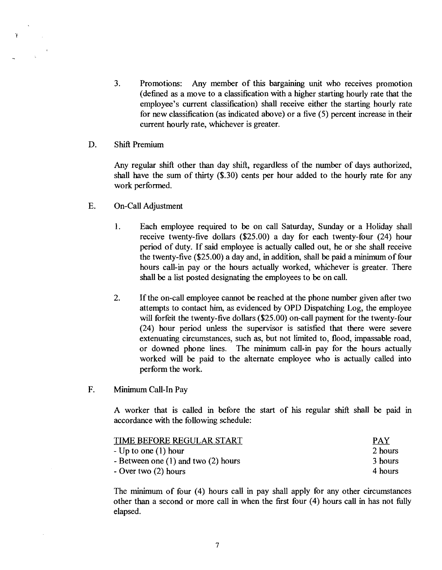3. Promotions: Any member of this bargaining unit who receives promotion (dehed as a move to a classification with a higher starting hourly rate that the employee's current classification) shall receive either the starting hourly rate for new classification (as indicated above) or a five (5) percent increase in their current hourly rate, whichever is greater.

### D. Shift Premium

Ť

Any regular shift other than day shift, regardless of the number of days authorized, shall have the sum of thirty (\$.30) cents per hour added to the hourly rate for any work performed.

- E. On-Call Adjustment
	- 1. Each employee required to be on call Saturday, Sunday or a Holiday shall receive twenty-five dollars (\$25.00) a day for each twenty-four (24) hour period of duty. If said employee is actually called out, he or she shall receive the twenty-five (\$25.00) a day and, in addition, shall be paid a **minimum** of four hours call-in pay or the hours actually worked, whichever is greater. There shall be a list posted designating the employees to be on call.
	- 2. If the on-call employee cannot be reached at the phone number given after two attempts to contact him, as evidenced by OPD Dispatching Log, the employee will forfeit the twenty-five dollars (\$25.00) on-call payment for the twenty-four (24) hour period unless the supervisor is satisfied that there were severe extenuating circumstances, such as, but not limited to, flood, impassable road, or downed phone lines. The minimum call-in pay for the hours actually worked will be paid to the alternate employee who is actually called into perform the work.
- F. **Minimum** Call-In Pay

**A** worker that is called in before the start of his regular shift shall be paid in accordance with the following schedule:

| TIME BEFORE REGULAR START               | <b>PAY</b> |
|-----------------------------------------|------------|
| - Up to one $(1)$ hour                  | 2 hours    |
| - Between one $(1)$ and two $(2)$ hours | 3 hours    |
| - Over two $(2)$ hours                  | 4 hours    |

The **minimum** of four (4) hours call in pay shall apply for any other circumstances other than a second or more call in when the first four (4) hours call in has not fully elapsed.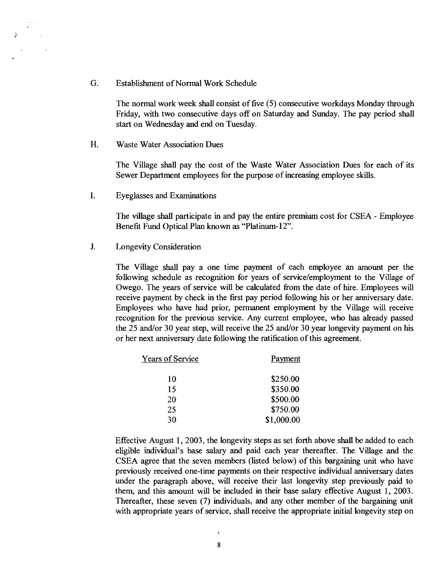*G.* Establishment of Normal Work Schedule

The normal work week shall consist of five (5) consecutive workdays Monday through Friday, with two consecutive days off on Saturday and Sunday. The pay period shall start on Wednesday and end on Tuesday.

H. Waste Water Association Dues

 $\tilde{\rho}$ 

The Village shall pay the cost of the Waste Water Association Dues for each of its Sewer Department employees for the purpose of increasing employee skills.

I. Eyeglasses and Examinations

The village shall participate in and pay the entire premium cost for CSEA - Employee Benefit Fund Optical Plan known as "Platinum- 12".

J. Longevity Consideration

The Village shall pay a one time payment of each employee an amount per the following schedule as recognition for years of servicelemployment to the Village of Owego. The years of service will be calculated fiom the date of hire. Employees will receive payment by check in the first pay period following his or her anniversary date. Employees who have had prior, permanent employment by the Village will receive recognition for the previous service. Any current employee, who has already passed the 25 and/or 30 year step, will receive the 25 and/or 30 year longevity payment on his or her next anniversary date following the ratification of this agreement.

| Years of Service | Payment    |
|------------------|------------|
| 10               | \$250.00   |
| 15               | \$350.00   |
| 20               | \$500.00   |
| 25               | \$750.00   |
| 30               | \$1,000.00 |

Effective August 1,2003, the longevity steps as set forth above shall be added to each eligible individual's base salary and paid each year thereafter. The Village and the CSEA agree that the seven members (listed below) of this bargaining unit who have previously received one-time payments on their respective individual anniversary dates under the paragraph above, will receive their last longevity step previously paid to them, and this amount will be included in their base salary effective August 1, 2003. Thereafter, these seven (7) individuals, and any other member of the bargaining unit with appropriate years of service, shall receive the appropriate initial longevity step on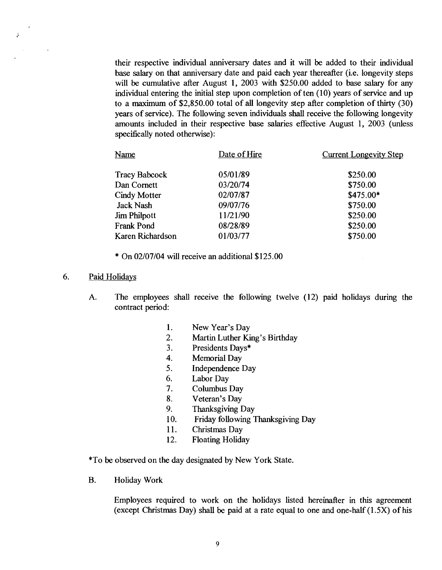their respective individual anniversary dates and it will be added to their individual base salary on that anniversary date and paid each year thereafter (i.e. longevity steps will be cumulative after August 1, 2003 with \$250.00 added to base salary for any individual entering the initial step upon completion of ten (10) years of service and up to a maximum of \$2,850.00 total of all longevity step after completion of thirty (30) years of service). The following seven individuals shall receive the following longevity amounts included in their respective base salaries effective August 1, 2003 (unless specifically noted otherwise):

| Name                 | Date of Hire | <b>Current Longevity Step</b> |
|----------------------|--------------|-------------------------------|
| <b>Tracy Babcock</b> | 05/01/89     | \$250.00                      |
| Dan Cornett          | 03/20/74     | \$750.00                      |
| <b>Cindy Motter</b>  | 02/07/87     | $$475.00*$                    |
| <b>Jack Nash</b>     | 09/07/76     | \$750.00                      |
| Jim Philpott         | 11/21/90     | \$250.00                      |
| <b>Frank Pond</b>    | 08/28/89     | \$250.00                      |
| Karen Richardson     | 01/03/77     | \$750.00                      |

\* On 02/07/04 will receive an additional \$125.00

#### 6. Paid Holidays

 $\tilde{\mathcal{X}}$ 

- A. The employees shall receive the following twelve (12) paid holidays during the contract period:
	- $\mathbf{1}$ . New Year's Day
	- $2.$ Martin Luther King's Birthday
	- Presidents Days\*  $3<sub>1</sub>$
	- $\overline{4}$ . Memorial Day
	- Independence Day 5.
	- Labor Day 6.
	- 7. Columbus Day
	- 8. Veteran's Day
	- $9<sub>1</sub>$ Thanksgiving Day
	- Friday following Thanksgiving Day  $10.$
	- 11. Christmas Day
	- 12. Floating Holiday

\*To be observed on the day designated by New York State.

B. Holiday Work

Employees required to work on the holidays listed hereinafter in this agreement (except Christmas Day) shall be paid at a rate equal to one and one-half (1.5X) of his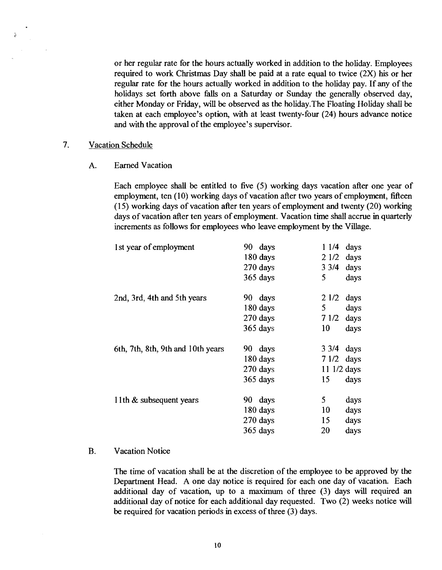or her regular rate for the hours actually worked in addition to the holiday. Employees required to work Christmas Day shall be paid at a rate equal to twice (2X) his or her regular rate for the hours actually worked in addition to the holiday pay. If any of the holidays set forth above falls on a Saturday or Sunday the generally observed day, either Monday or Friday, will be observed **as** the holiday.The Floating Holiday shall be taken at each employee's option, with at least twenty-four (24) hours advance notice and with the approval of the employee's supervisor.

### 7. Vacation Schedule

 $\tilde{\lambda}$ 

#### A. Earned Vacation

Each employee shall be entitled to five (5) working days vacation after one year of employment, ten (10) working days of vacation after two years of employment, fifteen (1 5) working days of vacation after ten years of employment and twenty (20) working days of vacation after ten years of employment. Vacation time shall accrue in quarterly increments **as** follows for employees who leave employment by the Village.

| 1st year of employment            | 90 days<br>180 days | 11/4<br>21/2    | days<br>days |
|-----------------------------------|---------------------|-----------------|--------------|
|                                   | 270 days            | $3 \frac{3}{4}$ | days         |
|                                   | 365 days            | 5               | days         |
| 2nd, 3rd, 4th and 5th years       | 90 days             | 21/2            | days         |
|                                   | 180 days            | 5               | days         |
|                                   | 270 days            | 71/2            | days         |
|                                   | 365 days            | 10              | days         |
| 6th, 7th, 8th, 9th and 10th years | 90 days             | $3 \frac{3}{4}$ | days         |
|                                   | 180 days            | 71/2            | days         |
|                                   | 270 days            | 11 1/2 days     |              |
|                                   | 365 days            | 15              | days         |
| 11th & subsequent years           | 90 days             | 5               | days         |
|                                   | 180 days            | 10              | days         |
|                                   | 270 days            | 15              | days         |
|                                   | $365$ days          | 20              | days         |

#### B. Vacation Notice

The time of vacation shall be at the discretion of the employee to be approved by the Department Head. A one day notice is required for each one day of vacation. Each additional day of vacation, up to a maximum of three (3) days will required an additional day of notice for each additional day requested. Two (2) weeks notice will be required for vacation periods in excess of three (3) days.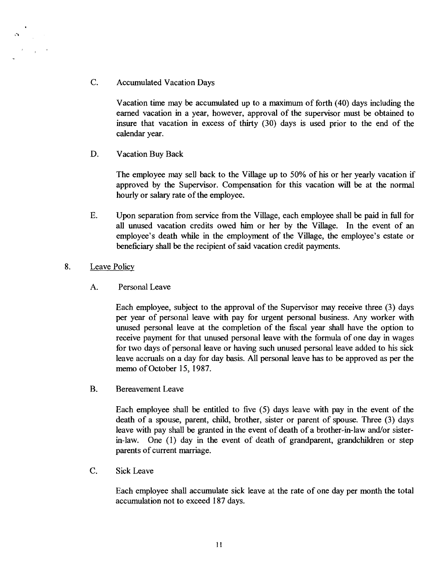C. Accumulated Vacation Days

Vacation time may be accumulated up to a **maximum** of forth (40) days including the earned vacation in a year, however, approval of the supervisor must be obtained to insure that vacation in excess of thirty (30) days is used prior to the end of the calendar year.

D. Vacation Buy Back

The employee may sell back to the Village up to 50% of his or her yearly vacation if approved by the Supervisor. Compensation for this vacation will be at the normal hourly or salary rate of the employee.

E. Upon separation from service from the Village, each employee shall be paid in full for all unused vacation credits owed him or her by the Village. In the event of an employee's death while in the employment of the Village, the employee's estate or beneficiary shall be the recipient of said vacation credit payments.

### 8. Leave Policy

A. Personal Leave

Each employee, subject to the approval of the Supervisor may receive three (3) days per year of personal leave with pay for urgent personal business. Any worker with unused personal leave at the completion of the fiscal year shall have the option to receive payment for that unused personal leave with the formula of one day in wages for two days of personal leave or having such unused personal leave added to his sick leave accruals on a day for day basis. *All* personal leave has to be approved as per the memo of October 15,1987.

B. Bereavement Leave

Each employee shall be entitled to five (5) days leave with pay in the event of the death of a spouse, parent, child, brother, sister or parent of spouse. Three (3) days leave with pay shall be granted in the event of death of a brother-in-law and/or sisterin-law. One (I) day in the event of death of grandparent, grandchildren or step parents of current marriage.

C. Sick Leave

Each employee shall accumulate sick leave at the rate of one day per month the total accumulation not to exceed 187 days.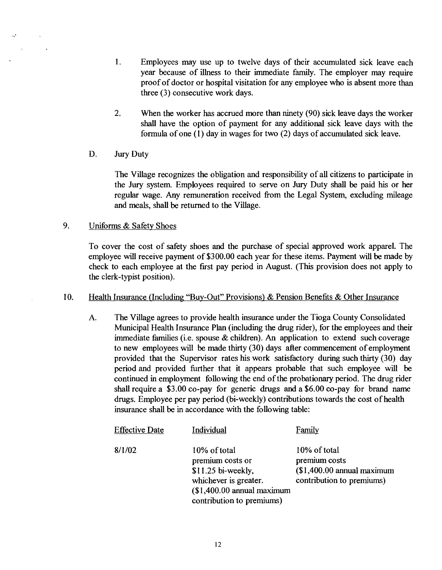- 1. Employees may use up to twelve days of their accumulated sick leave each year because of illness to their immediate family. The employer may require proof of doctor or hospital visitation for any employee who is absent more than three (3) consecutive work days.
- 2. When the worker has accrued more than ninety (90) sick leave days the worker shall have the option of payment for any additional sick leave days with the formula of one (1) day in wages for two (2) days of accumulated sick leave.
- D. Jury Duty

 $\mathcal{L}^{\lambda}$ 

The Village recognizes the obligation and responsibility of all citizens to participate in the Jury system. Employees required to serve on Jury Duty shall be paid his or her regular wage. Any remuneration received fiom the Legal System, excluding mileage and meals, shall be returned to the Village.

#### 9. Uniforms & Safety Shoes

To cover the cost of safety shoes and the purchase of special approved work apparel. The employee will receive payment of \$300.00 each year for these items. Payment will be made by check to each employee at the first pay period in August. (This provision does not apply to the clerk-typist position).

#### 10. Health Insurance (Including "BUY-Out" Provisions) & Pension Benefits & Other Insurance

A. The Village agrees to provide health insurance under the Tioga County Consolidated Municipal Health Insurance Plan (including the drug rider), for the employees and their immediate families (i.e. spouse  $&$  children). An application to extend such coverage to new employees will be made thirty (30) days after commencement of employment provided that the Supervisor rates his work satisfactory during such thirty (30) day period and provided further that it appears probable that such employee will be continued in employment following the end of the probationary period. The drug rider shall require a \$3.00 co-pay for generic drugs and a \$6.00 co-pay for brand **name**  drugs. Employee per pay period (bi-weekly) contributions towards the cost of health insurance shall be in accordance with the following table:

| <b>Effective Date</b> | Individual                                                                                                                                   | Family                                                                                   |
|-----------------------|----------------------------------------------------------------------------------------------------------------------------------------------|------------------------------------------------------------------------------------------|
| 8/1/02                | 10% of total<br>premium costs or<br>$$11.25$ bi-weekly,<br>whichever is greater.<br>$($1,400.00$ annual maximum<br>contribution to premiums) | 10% of total<br>premium costs<br>$$1,400.00$ annual maximum<br>contribution to premiums) |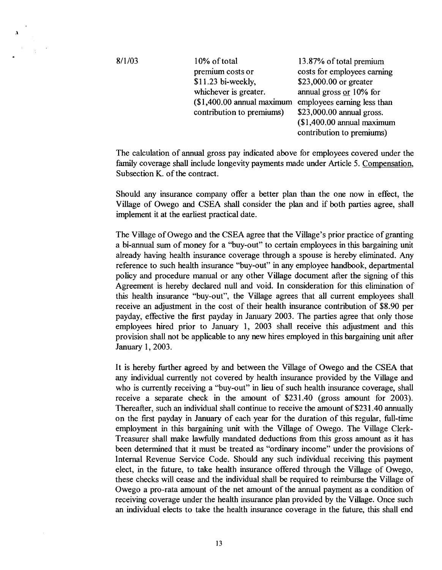$8/1/03$ 

 $\lambda$ 

premium costs or costs for employees earning<br>\$11.23 bi-weekly. \$23,000.00 or greater whichever is greater. annual gross **or** 10% for  $($1,400.00$  annual maximum employees earning less than contribution to premiums)  $$23,000.00$  annual gross. contribution to premiums)

10% of total 13.87% of total premium \$23,000.00 or greater (\$1,400.00 annual maximum contribution to premiums)

The calculation of annual gross pay indicated above for employees covered under the family coverage shall include longevity payments made under Article 5. Compensation, Subsection K. of the contract.

Should any insurance company offer a better plan than the one now in effect, the Village of Owego and CSEA shall consider the plan and if both parties agree, shall implement it at the earliest practical date.

The Village of Owego and the CSEA agree that the Village's prior practice of granting a bi-annual sum of money for a "buy-out" to certain employees in this bargaining unit already having health insurance coverage through a spouse is hereby eliminated. Any reference to such health insurance "buy-out" in any employee handbook, departmental policy and procedure manual or any other Village document after the signing of this Agreement is hereby declared null and void. In consideration for this elimination of this health insurance "buy-out", the Village agrees that all current employees shall receive an adjustment in the cost of their health insurance contribution of \$8.90 per payday, effective the first payday in January 2003. The parties agree that only those employees hired prior to January 1, 2003 shall receive this adjustment and this provision shall not be applicable to any new hires employed in this bargaining unit after January 1, 2003.

It is hereby further agreed by and between the Village of Owego and the CSEA that any individual currently not covered by health insurance provided by the Village and who is currently receiving a "buy-out" in lieu of such health insurance coverage, shall receive a separate check in the amount of \$231.40 (gross amount for 2003). Thereafter, such an individual shall continue to receive the amount of \$23 1.40 annually on the first payday in January of each year for the duration of this regular, full-time employment in this bargaining unit with the Village of Owego. The Village Clerk-Treasurer shall make lawfully mandated deductions from this gross amount as it has been determined that it must be treated as "ordinary income" under the provisions of Internal Revenue Service Code. Should any such individual receiving this payment elect, in the future, to take health insurance offered through the Village of Owego, these checks will cease and the individual shall be required to reimburse the Village of Owego a pro-rata amount of the net amount of the annual payment as a condition of receiving coverage under the health insurance plan provided by the Village. Once such an individual elects to take the health insurance coverage in the future, this shall end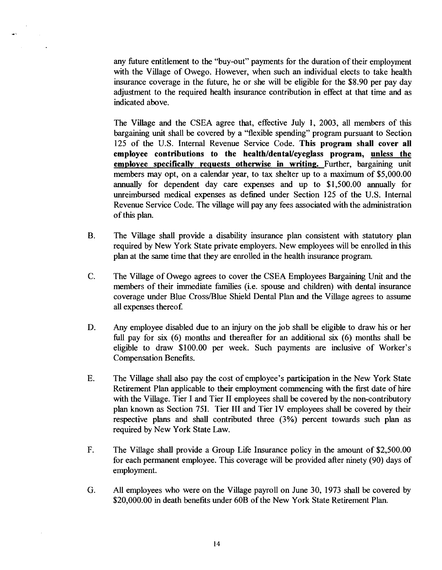any future entitlement to the "buy-out" payments for the duration of their employment with the Village of Owego. However, when such an individual elects to take health insurance coverage in the future, he or she will be eligible for the \$8.90 per pay day adjustment to the required health insurance contribution in effect at that time and as indicated above.

The Village and the CSEA agree that, effective July 1, 2003, all members of this bargaining unit shall be covered by a ''flexible spending" program pursuant to Section 125 of the U.S. Internal Revenue Service Code. **This program shall cover all**  employee contributions to the health/dental/eyeglass program, unless the **employee specifically requests otherwise in writing.** Further, bargaining unit members may opt, on a calendar year, to tax shelter up to a maximum of \$5,000.00 annually for dependent day care expenses and up to \$1,500.00 annually for unreimbursed medical expenses as defined under Section 125 of the U.S. Internal Revenue Service Code. The village will pay any fees associated with the administration of this plan.

- B. The Village shall provide a disability insurance plan consistent with statutory plan required by New York State private employers. New employees will be enrolled in this plan at the same time that they are enrolled in the health insurance program.
- C. The Village of Owego agrees to cover the CSEA Employees Bargaining Unit and the members of their immediate families (i.e. spouse and children) with dental insurance coverage under Blue Cross/Blue Shield Dental Plan and the Village agrees to assume all expenses thereof.
- D. Any employee disabled due to an injury on the job shall be eligible to draw his or her full pay for six (6) months and thereafter for an additional six (6) months shall be eligible to draw \$100.00 per week. Such payments are inclusive of Worker's Compensation Benefits.
- E. The Village shall also pay the cost of employee's participation in the New York State Retirement Plan applicable to their employment commencing with the first date of hire with the Village. Tier I and Tier II employees shall be covered by the non-contributory plan known as Section 751. Tier 111 and Tier IV employees shall be covered by their respective plans and shall contributed three (3%) percent towards such plan as required by New York State Law.
- F. The Village shall provide a Group Life Insurance policy in the amount of \$2,500.00 for each permanent employee. This coverage will be provided after ninety (90) days of employment.
- G. *All* employees who were on the Village payroll on June 30, 1973 shall be covered by \$20,000.00 in death benefits under 60B of the New York State Retirement Plan.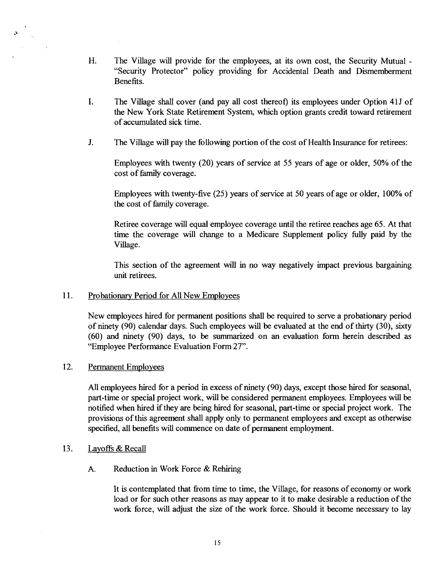- H. The Village will provide for the employees, at its own cost, the Security Mutual "Security Protector" policy providing for Accidental Death and Dismemberment Benefits.
- I. The Village shall cover (and pay all cost thereof) its employees under Option 415 of the New York State Retirement System, which option grants credit toward retirement of accumulated sick time.
- J. The Village **will** pay the following portion of the cost of Health Insurance for retirees:

Employees with twenty (20) years of service at 55 years of age or older, 50% of the cost of family coverage.

Employees with twenty-five (25) years of service at 50 years of age or older, 100% of the cost of family coverage.

Retiree coverage will equal employee coverage until the retiree reaches age 65. At that time the coverage will change to a Medicare Supplement policy fully paid by the Village.

This section of the agreement will in no way negatively impact previous bargaining unit retirees.

#### 11. Probationary Period for All New Employees

New employees hired for permanent positions shall be required to serve a probationary period of ninety (90) calendar days. Such employees will be evaluated at the end of thirty (30), sixty (60) and ninety (90) days, to be summarized on an evaluation form herein described **as**  "Employee Performance Evaluation Form 27".

#### 12. Permanent Employees

 $\lambda$ 

All employees hired for a period in excess of ninety (90) days, except those hired for seasonal, part-time or special project work, will be considered permanent employees. Employees will be notified when hired **if** they are being hired for seasonal, part-time or special project work. The provisions of this agreement shall apply only to permanent employees and except **as** otherwise specified, all benefits will commence on date of permanent employment.

#### 13. Layoffs & Recall

**A.** Reduction in Work Force & Rehiring

It is contemplated that from time to time, the Village, for reasons of economy or work load or for such other reasons **as** may appear to it to make desirable a reduction of the work force, will adjust the size of the work force. Should it become necessary to lay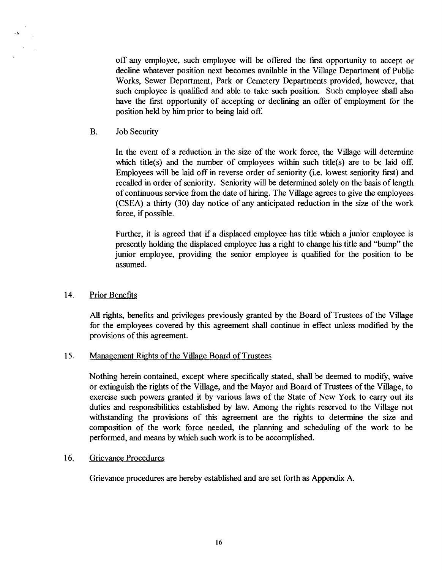off any employee, such employee will be offered the first opportunity to accept or decline whatever position next becomes available in the Village Department of Public Works, Sewer Department, Park or Cemetery Departments provided, however, that such employee is qualified and able to take such position. Such employee shall also have the first opportunity of accepting or declining an offer of employment for the position held by him prior to being laid off.

B. Job Security

In the event of a reduction in the size of the work force, the Village will determine which title(s) and the number of employees within such title(s) are to be laid off. Employees will be laid off in reverse order of seniority (i.e. lowest seniority first) and recalled in order of seniority. Seniority will be determined solely on the basis of length of continuous service from the date of hiring. The Village agrees to give the employees (CSEA) a thirty (30) day notice of any anticipated reduction in the size of the work force, if possible.

Further, it is agreed that if a displaced employee has title which a junior employee is presently holding the displaced employee **has** a right to change his title and "bump" the junior employee, providing the senior employee is qualified for the position to be assumed.

14. Prior Benefits

**All** rights, benefits and privileges previously granted by the Board of Trustees of the Village for the employees covered by this agreement shall continue in effect unless modified by the provisions of this agreement.

### **15.** Management Rights of the Village Board of Trustees

Nothing herein contained, except where specifically stated, shall be deemed to modify, waive or extinguish the rights of the Village, and the Mayor and Board of Trustees of the Village, to exercise such powers granted it by various laws of the State of New York to carry out its duties and responsibilities established by law. Among the rights reserved to the Village not withstanding the provisions of this agreement are the rights to determine the size and composition of the work force needed, the planning and scheduling of the work to be performed, and means by which such work is to be accomplished.

### 16. Grievance Procedures

Grievance procedures are hereby established and are set forth as Appendix A.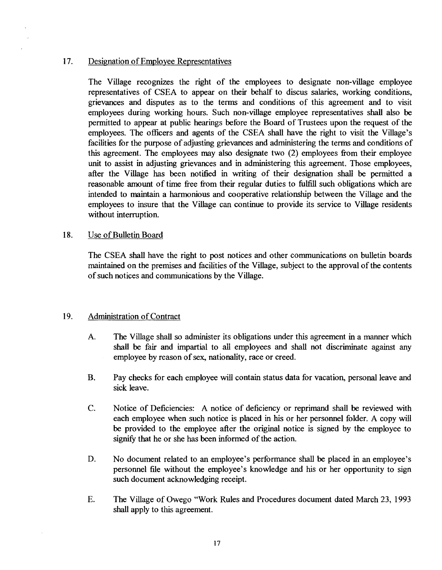#### 17. Designation of Employee Representatives

The Village recognizes the right of the employees to designate non-village employee representatives of CSEA to appear on their behalf to discus salaries, working conditions, grievances and disputes as to the terms and conditions of this agreement and to visit employees during working hours. Such non-village employee representatives shall also be permitted to appear at public hearings before the Board of Trustees upon the request of the employees. The officers and agents of the CSEA shall have the right to visit the Village's facilities for the purpose of adjusting grievances and administering the terms and conditions of this agreement. The employees may also designate two (2) employees fiom their employee unit to assist in adjusting grievances and in administering this agreement. Those employees, after the Village has been notified in writing of their designation shall be permitted a reasonable amount of time free from their regular duties to fulfill such obligations which are intended to maintain a harmonious and cooperative relationship between the Village and the employees to insure that the Village can continue to provide its service to Village residents without interruption.

#### 18. Use of Bulletin Board

The CSEA shall have the right to post notices and other communications on bulletin boards maintained on the premises and facilities of the Village, subject to the approval of the contents of such notices and communications by the Village.

### 19. Administration of Contract

- A. The Village shall so administer its obligations under this agreement in a manner which shall be fair and impartial to all employees and shall not discriminate against any employee by reason of sex, nationality, race or creed.
- B. Pay checks for each employee will contain status data for vacation, personal leave and sick leave.
- C. Notice of Deficiencies: A notice of deficiency or reprimand shall be reviewed with each employee when such notice is placed in his or her personnel folder. A copy will be provided to the employee after the original notice is signed by the employee to signify that he or she has been informed of the action.
- D. No document related to an employee's performance shall be placed in an employee's personnel file without the employee's knowledge and his or her opportunity to sign such document acknowledging receipt.
- E. The Village of Owego "Work Rules and Procedures document dated March 23, 1993 shall apply to this agreement.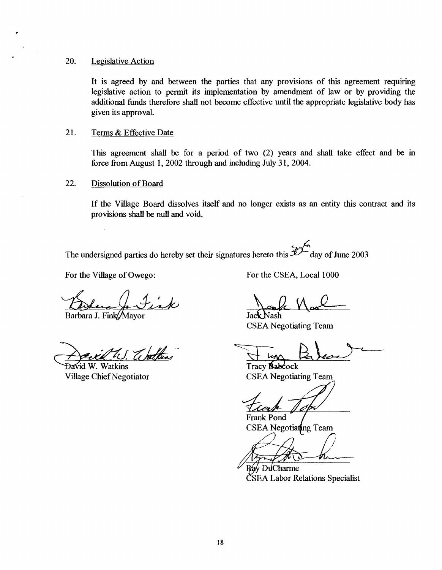#### 20. Legislative Action

 $\ddot{\psi}$ 

It is agreed by and between the parties that any provisions of this agreement requiring legislative action to permit its implementation by amendment of law or by providing the additional funds therefore shall not become effective until the appropriate legislative body has given its approval.

#### 21. Terms & Effective Date

This agreement shall be for a period of two (2) years and shall take effect and be in force from August 1, 2002 through and including July 31, 2004.

#### 22. Dissolution of Board

If the Village Board dissolves itself and no longer exists as an entity this contract and its provisions shall be null and void.

The undersigned parties do hereby set their signatures hereto this  $\mathscr{L}\mathscr{L}$  day of June 2003

Barbara J. Fink/Mayor

David W. Watkins

For the Village of Owego: For the CSEA, Local 1000

Jack Nash CSEA Negotiating Team

Tracy **&&dock**  Village Chief Negotiator CSEA Negotiating Team

**Frank Pond** CSEA Negotiating Team

Ráy DuCharme **ČSEA Labor Relations Specialist**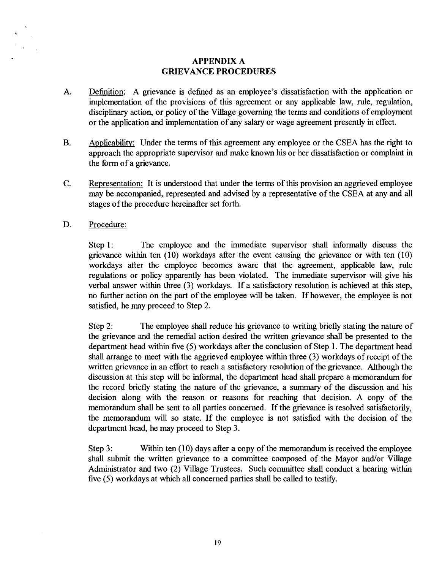### **APPENDIX A GRIEVANCE PROCEDURES**

- A. Definition: A grievance is defined as an employee's dissatisfaction with the application or implementation of the provisions of this agreement or any applicable law, rule, regulation, disciplinary action, or policy of the Village governing the terms and conditions of employment or the application and implementation of any salary or wage agreement presently in effect.
- B. Applicability: Under the terms of this agreement any employee or the CSEA has the right to approach the appropriate supervisor and make known his or her dissatisfaction or complaint in the form of a grievance.
- C. Representation: It is understood that under the terms of this provision an aggrieved employee may be accompanied, represented and advised by a representative of the CSEA at any and all stages of the procedure hereinafter set forth.
- D. Procedure:

Step 1: The employee and the immediate supervisor shall informally discuss the grievance within ten (10) workdays after the event causing the grievance or with ten (10) workdays after the employee becomes aware that the agreement, applicable law, rule regulations or policy apparently has been violated. The immediate supervisor will give his verbal answer within three (3) workdays. If a satisfactory resolution is achieved at this step, no further action on the part of the employee will be taken. If however, the employee is not satisfied, he may proceed to Step 2.

Step 2: The employee shall reduce his grievance to writing briefly stating the nature of the grievance and the remedial action desired the written grievance shall be presented to the department head within five (5) workdays after the conclusion of Step 1. The department head shall arrange to meet with the aggrieved employee within three (3) workdays of receipt of the written grievance in an effort to reach a satisfactory resolution of the grievance. Although the discussion at this step will be informal, the department head shall prepare a memorandum for the record briefly stating the nature of the grievance, a summary of the discussion and his decision along with the reason or reasons for reaching that decision. A copy of the memorandum shall be sent to all parties concerned. If the grievance is resolved satisfactorily, the memorandum will so state. If the employee is not satisfied with the decision of the department head, he may proceed to Step 3.

Step 3: Within ten  $(10)$  days after a copy of the memorandum is received the employee shall submit the written grievance to a committee composed of the Mayor and/or Village Administrator and two (2) Village Trustees. Such committee shall conduct a hearing within five (5) workdays at which all concerned parties shall be called to testify.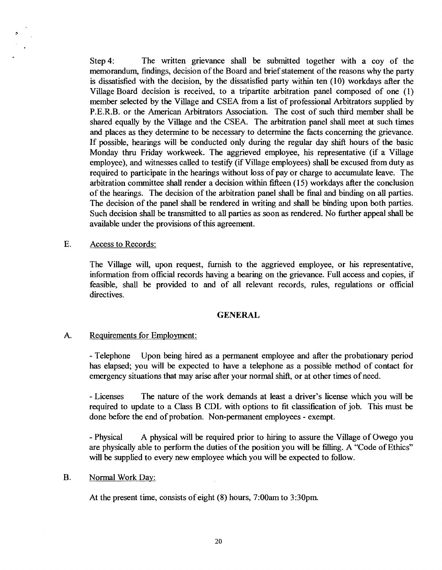Step 4: The written grievance shall be submitted together with a coy of the memorandum, findings, decision of the Board and brief statement of the reasons why the party is dissatisfied with the decision, by the dissatisfied party within ten (10) workdays after the Village Board decision is received, to a tripartite arbitration panel composed of one (1) member selected by the Village and CSEA from a list of professional Arbitrators supplied by P.E.R.B. or the American Arbitrators Association. The cost of such third member shall be shared equally by the Village and the CSEA. The arbitration panel shall meet at such times and places as they determine to be necessary to determine the facts concerning the grievance. If possible, hearings will be conducted only during the regular day shift hours of the basic Monday thru Friday workweek. The aggrieved employee, his representative (if a Village employee), and witnesses called to testify (if Village employees) shall be excused from duty as required to participate in the hearings without loss of pay or charge to accumulate leave. The arbitration committee shall render a decision within fifteen (15) workdays after the conclusion of the hearings. The decision of the arbitration panel shall be final and binding on all parties. The decision of the panel shall be rendered in writing and shall be binding upon both parties. Such decision shall be transmitted to all parties as soon as rendered. No further appeal shall be available under the provisions of this agreement.

#### E. Access to Records:

The Village will, upon request, furnish to the aggrieved employee, or his representative, information from official records having a bearing on the grievance. Full access and copies, if feasible, shall be provided to and of all relevant records, rules, regulations or official directives.

#### **GENERAL**

### A. Requirements for Employment:

- Telephone Upon being hired as a permanent employee and after the probationary period has elapsed; you will be expected to have a telephone as a possible method of contact for emergency situations that may arise after your normal shift, or at other times of need.

- Licenses The nature of the work demands at least a driver's license which you will be required to update to a Class B CDL with options to fit classification of job. This must be done before the end of probation. Non-permanent employees - exempt.

- Physical A physical will be required prior to hiring to assure the Village of Owego you are physically able to perform the duties of the position you will be filling. A "Code of Ethics" will be supplied to every new employee which you will be expected to follow.

#### B. Normal Work Day:

At the present time, consists of eight (8) hours, 7:00am to 3:30pm.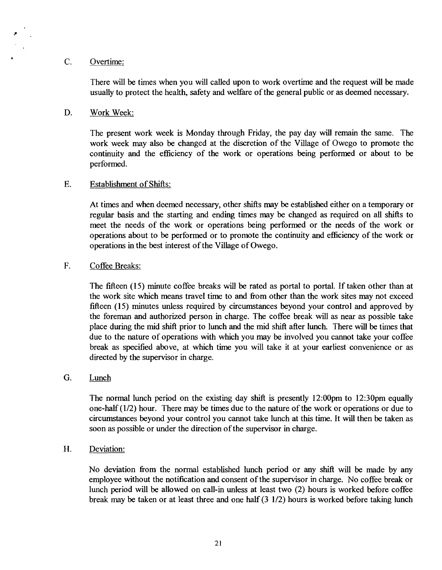#### C. Overtime:

There will be times when you will called upon to work overtime and the request will be made usually to protect the health, safety and welfare of the general public or **as** deemed necessary.

#### D. Work Week:

The present work week is Monday through Friday, the pay day will remain the same. The work week may also be changed at the discretion of the Village of Owego to promote the continuity and the efficiency of the work or operations being performed or about to be performed.

#### E. Establishment of Shifts:

At times and when deemed necessary, other shifts may be established either on a temporary or regular basis and the starting and ending times may be changed **as** required on all shifts to meet the needs of the work or operations being performed or the needs of the work or operations about to be performed or to promote the continuity and efficiency of the work or operations in the best interest of the Village of Owego.

#### F. Coffee Breaks:

The fifteen (15) minute coffee breaks will be rated **as** portal to portal. If taken other than at the work site which means travel time to and fiom other than the work sites may not exceed fifteen (15) minutes unless required by circumstances beyond your control and approved by the foreman and authorized person in charge. The coffee break will **as** near **as** possible take place during the mid shift prior to lunch and the mid shift after lunch. There will be times that due to the nature of operations with which you may be involved you cannot take your coffee break **as** specified above, at which time you will take it at your earliest convenience or as directed by the supervisor in charge.

#### G. Lunch

The normal lunch period on the existing day shift is presently 12:OOpm to 12:30pm equally one-half(112) hour. There may be times due to the nature of the work or operations or due to circumstances beyond your control you cannot take lunch at this time. It will then be taken **as**  soon **as** possible or under the direction of the supervisor in charge.

#### H. Deviation:

No deviation fiom the normal established lunch period or any shift will be made by any employee without the notification and consent of the supervisor in charge. No coffee break or lunch period will be allowed on call-in unless at least two (2) hours is worked before coffee break may be taken or at least three and one half  $(3\ 1/2)$  hours is worked before taking lunch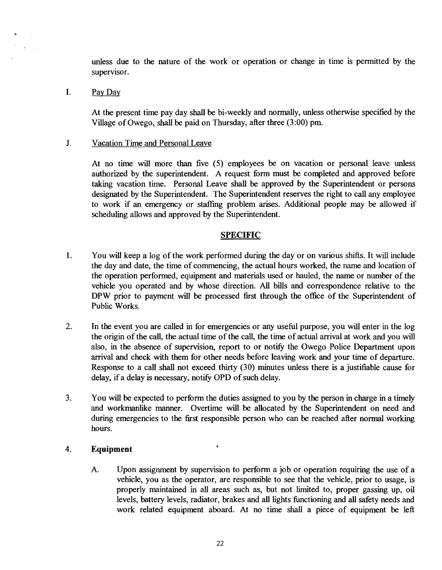unless due to the nature of the work or operation or change in time is permitted by the supervisor.

I. Pay Day

At the present time pay day shall be bi-weekly and normally, unless otherwise specified by the Village of Owego, shall be paid on Thursday, after three (3:OO) pm.

J. Vacation Time and Personal Leave

At no time will more than five (5) employees be on vacation or personal leave unless authorized by the superintendent. A request form must be completed and approved before taking vacation time. Personal Leave shall be approved by the Superintendent or persons designated by the Superintendent. The Superintendent reserves the right to call any employee to work if an emergency or staffing problem arises. Additional people may be allowed if scheduling allows and approved by the Superintendent.

### **SPECIFIC**

- **1.** You will keep a log of the work performed during the day or on various shifts. It will include the day and date, the time of commencing, the actual hours worked, the name and location of the operation performed, equipment and materials used or hauled, the name or number of the vehicle you operated and by whose direction. All bills and correspondence relative to the DPW prior to payment will be processed first through the office of the Superintendent of Public Works.
- 2. In the event you are called in for emergencies or any useful purpose, you will enter in the log the origin of the call, the actual time of the call, the time of actual arrival at work and you will also, in the absence of supervision, report to or notify the Owego Police Department upon arrival and check with them for other needs before leaving work and your time of departure. Response to a call shall not exceed thirty (30) minutes unless there is a justifiable cause for delay, if a delay is necessary, notify OPD of such delay.
- 3. You will be expected to perform the duties assigned to you by the person in charge in a timely and workmanlike manner. Overtime will be allocated by the Superintendent on need and during emergencies to the first responsible person who can be reached after normal working hours.

## **4. Equipment <sup>6</sup>**

A. Upon assignment by supervision to perform a job or operation requiring the use of a vehicle, you as the operator, are responsible to see that the vehicle, prior to usage, is properly maintained in all areas such as, but not limited to, proper gassing up, oil levels, battery levels, radiator, brakes and all lights functioning and all safety needs and work related equipment aboard. At no time shall a piece of equipment be left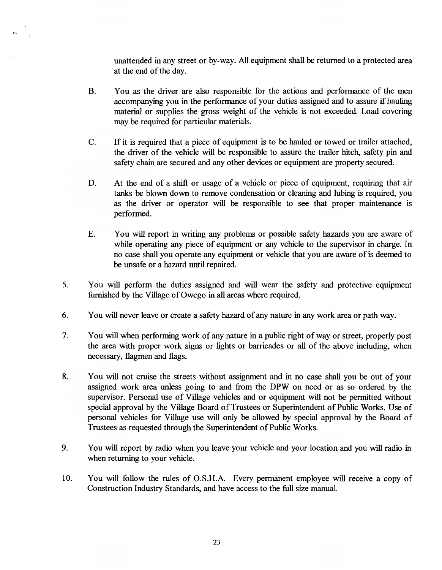unattended in any street or by-way. All equipment shall be returned to a protected area at the end of the day.

- You as the driver are also responsible for the actions and performance of the men  $B<sub>r</sub>$ accompanying you in the performance of your duties assigned and to assure if hauling material or supplies the gross weight of the vehicle is not exceeded. Load covering may be required for particular materials.
- C. If it is required that a piece of equipment is to be hauled or towed or trailer attached, the driver of the vehicle will be responsible to assure the trailer hitch, safety pin and safety chain are secured and any other devices or equipment are property secured.
- D. At the end of a shift or usage of a vehicle or piece of equipment, requiring that air tanks be blown down to remove condensation or cleaning and lubing is required, you as the driver or operator will be responsible to see that proper maintenance is performed.
- E. You will report in writing any problems or possible safety hazards you are aware of while operating any piece of equipment or any vehicle to the supervisor in charge. In no case shall you operate any equipment or vehicle that you are aware of is deemed to be unsafe or a hazard until repaired.
- *5.* You will perform the duties assigned and will wear the safety and protective equipment furnished by the Village of Owego in all areas where required.
- **6.** You will never leave or create a safety hazard of any nature in any work area or path way.
- 7. You will when performing work of any nature in a public right of way or street, properly post the area with proper work signs or lights or barricades or all of the above including, when necessary, flagmen and flags.
- **8.** You will not cruise the streets without assignment and in no case shall you be out of your assigned work area unless going to and fiom the DPW on need or as so ordered by the supervisor. Personal use of Village vehicles and or equipment will not be permitted without special approval by the Village Board of Trustees or Superintendent of Public Works. Use of personal vehicles for Village use will only be allowed by special approval by the Board of Trustees as requested through the Superintendent of Public Works.
- **9.** You will report by radio when you leave your vehicle and your location and you will radio in when returning to your vehicle.
- **10.** You will follow the rules of O.S.H.A. Every permanent employee will receive a copy of Construction Industry Standards, and have access to the full size manual.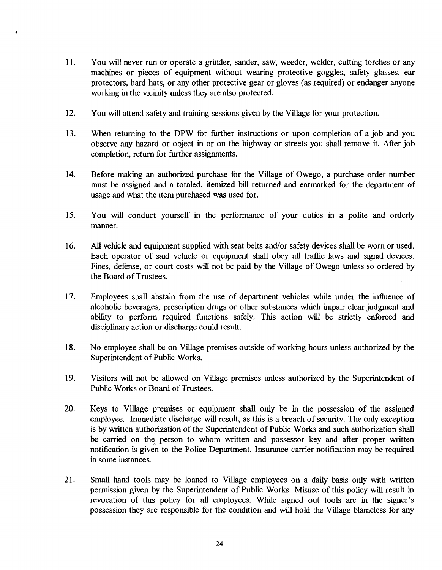- 1 1. You will never run or operate a grinder, sander, saw, weeder, welder, cutting torches or any machines or pieces of equipment without wearing protective goggles, safety glasses, ear protectors, hard hats, or any other protective gear or gloves (as required) or endanger anyone working in the vicinity unless they are also protected.
- 12. You will attend safety and training sessions given by the Village for your protection.
- 13. When returning to the DPW for hrther instructions or upon completion of a job and you observe any hazard or object in or on the highway or streets you shall remove it. After job completion, return for further assignments.
- **14.** Before making an authorized purchase for the Village of Owego, a purchase order number must be assigned and a totaled, itemized bill returned and earmarked for the department of usage and what the item purchased was used for.
- 15. You will conduct yourself in the performance of your duties in a polite and orderly manner.
- 16. All vehicle and equipment supplied with seat belts and/or safety devices shall be worn or used. Each operator of said vehicle or equipment shall obey all traflic laws and signal devices. Fines, defense, or court costs will not be paid by the Village of Owego unless so ordered by the Board of Trustees.
- 17. Employees shall abstain fiom the use of department vehicles while under the influence of alcoholic beverages, prescription drugs or other substances which impair clear judgment and ability to perform required functions safely. This action will be strictly enforced and disciplinary action or discharge could result.
- 18. No employee shall be on Village premises outside of working hours unless authorized by the Superintendent of Public Works.
- 19. Visitors will not be allowed on Village premises unless authorized by the Superintendent of Public Works or Board of Trustees.
- 20. Keys to Village premises or equipment shall only be in the possession of the assigned employee. Immediate discharge will result, as this is a breach of security. The only exception is by written authorization of the Superintendent of Public Works and such authorization shall be carried on the person to whom written and possessor key and after proper written notification is given to the Police Department. Insurance carrier notification may be required in some instances.
- 21. Small hand tools may be loaned to Village employees on a daily basis only with written permission given by the Superintendent of Public Works. Misuse of this policy will result in revocation of this policy for all employees. While signed out tools are in the signer's possession they are responsible for the condition and will hold the Village blameless for any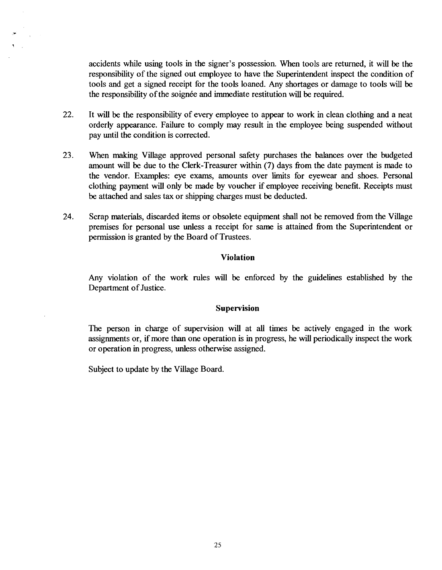accidents while using tools in the signer's possession. When tools are returned, it will be the responsibility of the signed out employee to have the Superintendent inspect the condition of tools and get a signed receipt for the tools loaned. Any shortages or damage to tools will be the responsibility of the soignée and immediate restitution will be required.

- 22. It will be the responsibility of every employee to appear to work in clean clothing and a neat orderly appearance. Failure to comply may result in the employee being suspended without pay until the condition is corrected.
- **23.** When making Village approved personal safety purchases the balances over the budgeted amount will be due to the Clerk-Treasurer within (7) days fiom the date payment is made to the vendor. Examples: eye exams, amounts over limits for eyewear and shoes. Personal clothing payment will only be made by voucher if employee receiving benefit. Receipts must be attached and sales tax or shipping charges must be deducted.
- **24.** Scrap materials, discarded items or obsolete equipment shall not be removed fiom the Village premises for personal use unless a receipt for same is attained fiom the Superintendent or permission is granted by the Board of Trustees.

#### **Viola tion**

Any violation of the work rules will be enforced by the guidelines established by the Department of Justice.

### **Supervision**

The person in charge of supervision will at all times be actively engaged in the work assignments or, if more than one operation is in progress, he will periodically inspect the work or operation in progress, unless otherwise assigned.

Subject to update by the Village Board.